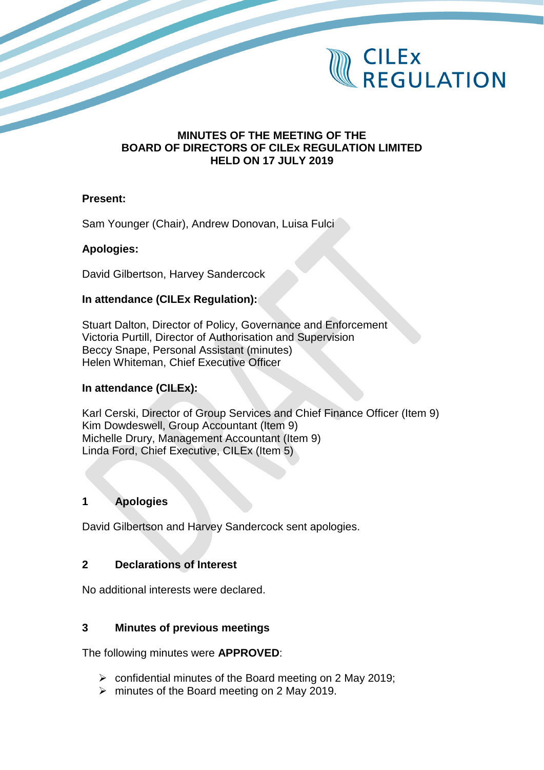

### **MINUTES OF THE MEETING OF THE BOARD OF DIRECTORS OF CILEx REGULATION LIMITED HELD ON 17 JULY 2019**

#### **Present:**

Sam Younger (Chair), Andrew Donovan, Luisa Fulci

### **Apologies:**

David Gilbertson, Harvey Sandercock

### **In attendance (CILEx Regulation):**

Stuart Dalton, Director of Policy, Governance and Enforcement Victoria Purtill, Director of Authorisation and Supervision Beccy Snape, Personal Assistant (minutes) Helen Whiteman, Chief Executive Officer

### **In attendance (CILEx):**

Karl Cerski, Director of Group Services and Chief Finance Officer (Item 9) Kim Dowdeswell, Group Accountant (Item 9) Michelle Drury, Management Accountant (Item 9) Linda Ford, Chief Executive, CILEx (Item 5)

## **1 Apologies**

David Gilbertson and Harvey Sandercock sent apologies.

### **2 Declarations of Interest**

No additional interests were declared.

#### **3 Minutes of previous meetings**

The following minutes were **APPROVED**:

- $\triangleright$  confidential minutes of the Board meeting on 2 May 2019;
- $\triangleright$  minutes of the Board meeting on 2 May 2019.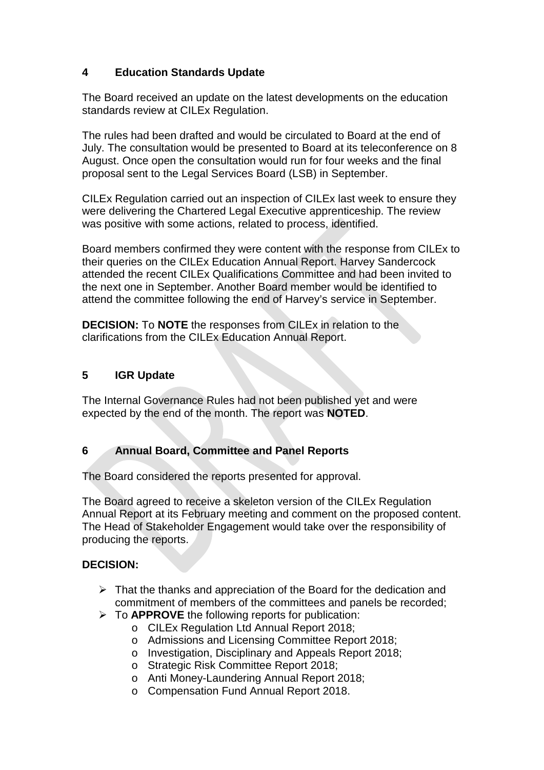# **4 Education Standards Update**

The Board received an update on the latest developments on the education standards review at CILEx Regulation.

The rules had been drafted and would be circulated to Board at the end of July. The consultation would be presented to Board at its teleconference on 8 August. Once open the consultation would run for four weeks and the final proposal sent to the Legal Services Board (LSB) in September.

CILEx Regulation carried out an inspection of CILEx last week to ensure they were delivering the Chartered Legal Executive apprenticeship. The review was positive with some actions, related to process, identified.

Board members confirmed they were content with the response from CILEx to their queries on the CILEx Education Annual Report. Harvey Sandercock attended the recent CILEx Qualifications Committee and had been invited to the next one in September. Another Board member would be identified to attend the committee following the end of Harvey's service in September.

**DECISION:** To **NOTE** the responses from CILEx in relation to the clarifications from the CILEx Education Annual Report.

## **5 IGR Update**

The Internal Governance Rules had not been published yet and were expected by the end of the month. The report was **NOTED**.

## **6 Annual Board, Committee and Panel Reports**

The Board considered the reports presented for approval.

The Board agreed to receive a skeleton version of the CILEx Regulation Annual Report at its February meeting and comment on the proposed content. The Head of Stakeholder Engagement would take over the responsibility of producing the reports.

## **DECISION:**

- $\triangleright$  That the thanks and appreciation of the Board for the dedication and commitment of members of the committees and panels be recorded;
- To **APPROVE** the following reports for publication:
	- o CILEx Regulation Ltd Annual Report 2018;
	- o Admissions and Licensing Committee Report 2018;
	- o Investigation, Disciplinary and Appeals Report 2018;
	- o Strategic Risk Committee Report 2018;
	- o Anti Money-Laundering Annual Report 2018;
	- o Compensation Fund Annual Report 2018.